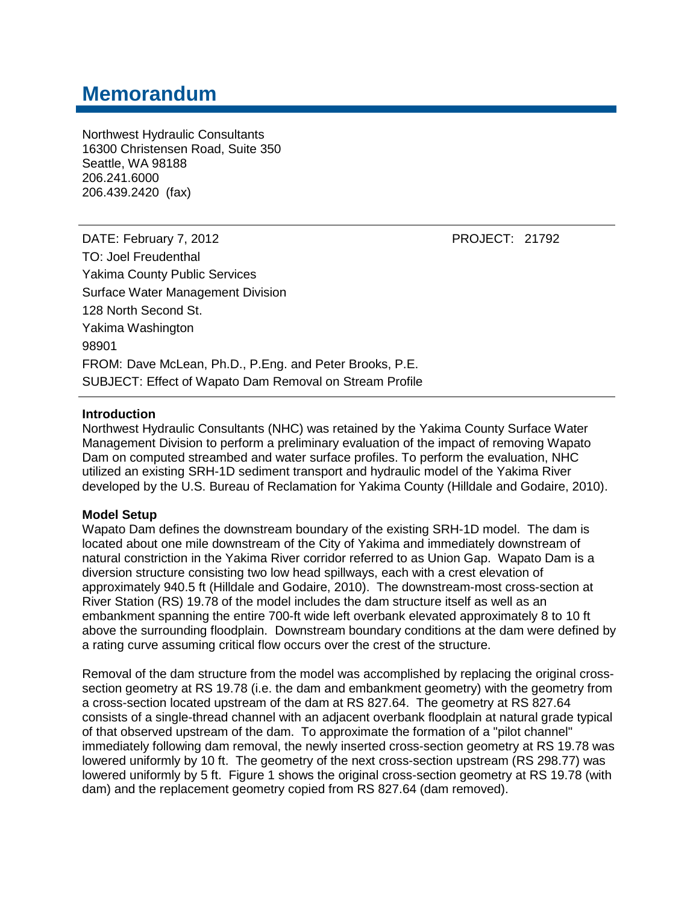# **Memorandum**

Northwest Hydraulic Consultants 16300 Christensen Road, Suite 350 Seattle, WA 98188 206.241.6000 206.439.2420 (fax)

DATE: February 7, 2012 **PROJECT: 21792** TO: Joel Freudenthal Yakima County Public Services Surface Water Management Division 128 North Second St. Yakima Washington 98901 FROM: Dave McLean, Ph.D., P.Eng. and Peter Brooks, P.E. SUBJECT: Effect of Wapato Dam Removal on Stream Profile

#### **Introduction**

Northwest Hydraulic Consultants (NHC) was retained by the Yakima County Surface Water Management Division to perform a preliminary evaluation of the impact of removing Wapato Dam on computed streambed and water surface profiles. To perform the evaluation, NHC utilized an existing SRH-1D sediment transport and hydraulic model of the Yakima River developed by the U.S. Bureau of Reclamation for Yakima County (Hilldale and Godaire, 2010).

#### **Model Setup**

Wapato Dam defines the downstream boundary of the existing SRH-1D model. The dam is located about one mile downstream of the City of Yakima and immediately downstream of natural constriction in the Yakima River corridor referred to as Union Gap. Wapato Dam is a diversion structure consisting two low head spillways, each with a crest elevation of approximately 940.5 ft (Hilldale and Godaire, 2010). The downstream-most cross-section at River Station (RS) 19.78 of the model includes the dam structure itself as well as an embankment spanning the entire 700-ft wide left overbank elevated approximately 8 to 10 ft above the surrounding floodplain. Downstream boundary conditions at the dam were defined by a rating curve assuming critical flow occurs over the crest of the structure.

Removal of the dam structure from the model was accomplished by replacing the original crosssection geometry at RS 19.78 (i.e. the dam and embankment geometry) with the geometry from a cross-section located upstream of the dam at RS 827.64. The geometry at RS 827.64 consists of a single-thread channel with an adjacent overbank floodplain at natural grade typical of that observed upstream of the dam. To approximate the formation of a "pilot channel" immediately following dam removal, the newly inserted cross-section geometry at RS 19.78 was lowered uniformly by 10 ft. The geometry of the next cross-section upstream (RS 298.77) was lowered uniformly by 5 ft. Figure 1 shows the original cross-section geometry at RS 19.78 (with dam) and the replacement geometry copied from RS 827.64 (dam removed).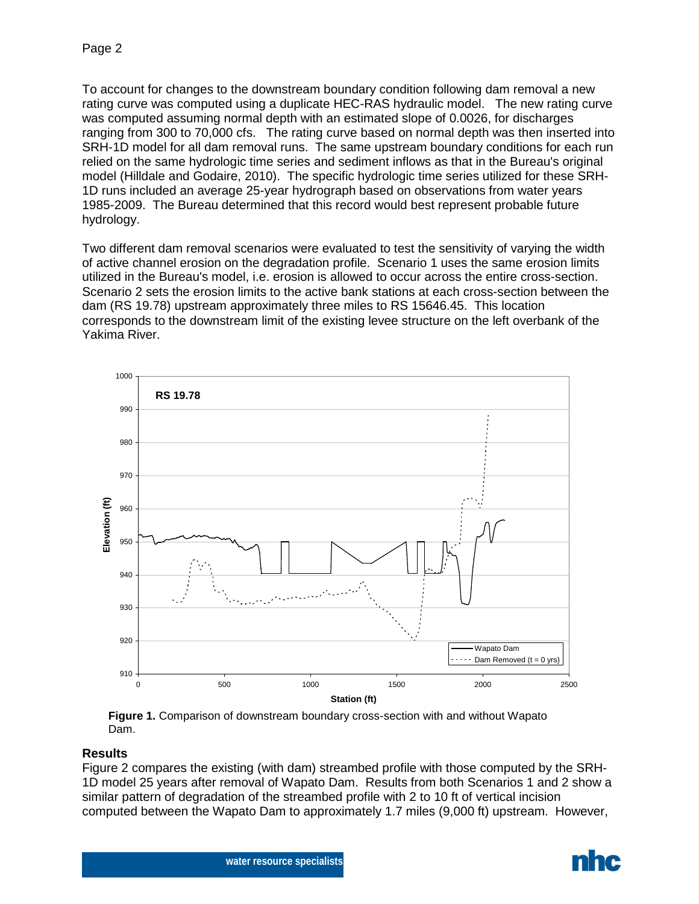To account for changes to the downstream boundary condition following dam removal a new rating curve was computed using a duplicate HEC-RAS hydraulic model. The new rating curve was computed assuming normal depth with an estimated slope of 0.0026, for discharges ranging from 300 to 70,000 cfs. The rating curve based on normal depth was then inserted into SRH-1D model for all dam removal runs. The same upstream boundary conditions for each run relied on the same hydrologic time series and sediment inflows as that in the Bureau's original model (Hilldale and Godaire, 2010). The specific hydrologic time series utilized for these SRH-1D runs included an average 25-year hydrograph based on observations from water years 1985-2009. The Bureau determined that this record would best represent probable future hydrology.

Two different dam removal scenarios were evaluated to test the sensitivity of varying the width of active channel erosion on the degradation profile. Scenario 1 uses the same erosion limits utilized in the Bureau's model, i.e. erosion is allowed to occur across the entire cross-section. Scenario 2 sets the erosion limits to the active bank stations at each cross-section between the dam (RS 19.78) upstream approximately three miles to RS 15646.45. This location corresponds to the downstream limit of the existing levee structure on the left overbank of the Yakima River.



**Figure 1.** Comparison of downstream boundary cross-section with and without Wapato Dam.

# **Results**

Figure 2 compares the existing (with dam) streambed profile with those computed by the SRH-1D model 25 years after removal of Wapato Dam. Results from both Scenarios 1 and 2 show a similar pattern of degradation of the streambed profile with 2 to 10 ft of vertical incision computed between the Wapato Dam to approximately 1.7 miles (9,000 ft) upstream. However,



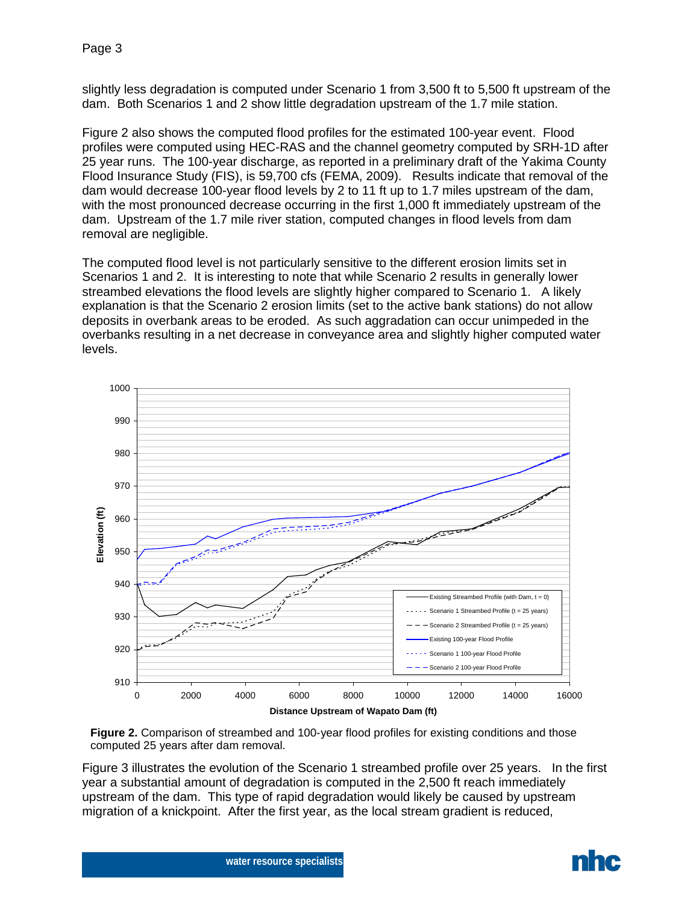slightly less degradation is computed under Scenario 1 from 3,500 ft to 5,500 ft upstream of the dam. Both Scenarios 1 and 2 show little degradation upstream of the 1.7 mile station.

Figure 2 also shows the computed flood profiles for the estimated 100-year event. Flood profiles were computed using HEC-RAS and the channel geometry computed by SRH-1D after 25 year runs. The 100-year discharge, as reported in a preliminary draft of the Yakima County Flood Insurance Study (FIS), is 59,700 cfs (FEMA, 2009). Results indicate that removal of the dam would decrease 100-year flood levels by 2 to 11 ft up to 1.7 miles upstream of the dam, with the most pronounced decrease occurring in the first 1,000 ft immediately upstream of the dam. Upstream of the 1.7 mile river station, computed changes in flood levels from dam removal are negligible.

The computed flood level is not particularly sensitive to the different erosion limits set in Scenarios 1 and 2. It is interesting to note that while Scenario 2 results in generally lower streambed elevations the flood levels are slightly higher compared to Scenario 1. A likely explanation is that the Scenario 2 erosion limits (set to the active bank stations) do not allow deposits in overbank areas to be eroded. As such aggradation can occur unimpeded in the overbanks resulting in a net decrease in conveyance area and slightly higher computed water levels.



**Figure 2.** Comparison of streambed and 100-year flood profiles for existing conditions and those computed 25 years after dam removal.

Figure 3 illustrates the evolution of the Scenario 1 streambed profile over 25 years. In the first year a substantial amount of degradation is computed in the 2,500 ft reach immediately upstream of the dam. This type of rapid degradation would likely be caused by upstream migration of a knickpoint. After the first year, as the local stream gradient is reduced,



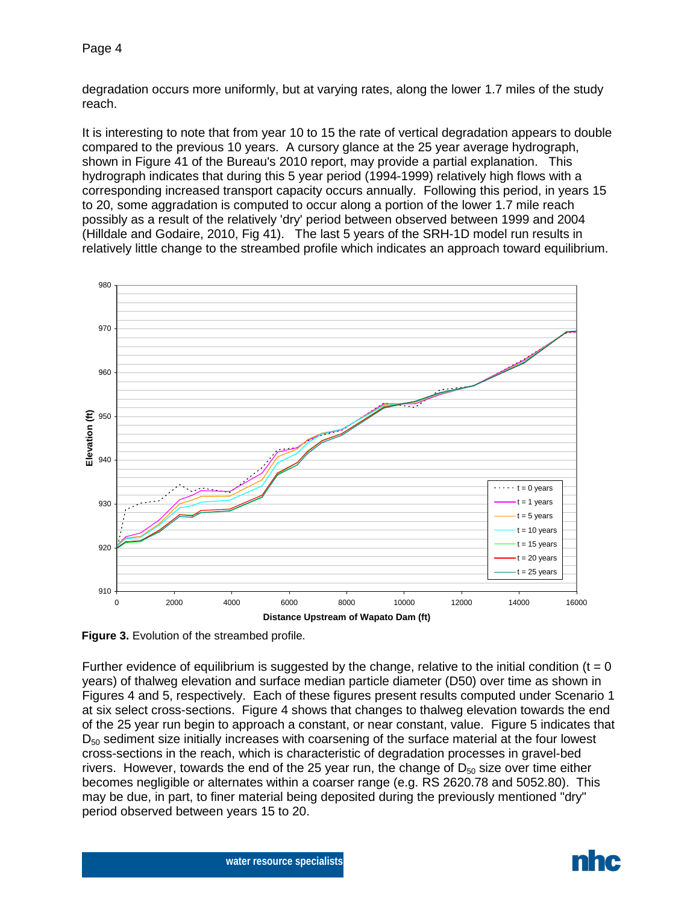degradation occurs more uniformly, but at varying rates, along the lower 1.7 miles of the study reach.

It is interesting to note that from year 10 to 15 the rate of vertical degradation appears to double compared to the previous 10 years. A cursory glance at the 25 year average hydrograph, shown in Figure 41 of the Bureau's 2010 report, may provide a partial explanation. This hydrograph indicates that during this 5 year period (1994-1999) relatively high flows with a corresponding increased transport capacity occurs annually. Following this period, in years 15 to 20, some aggradation is computed to occur along a portion of the lower 1.7 mile reach possibly as a result of the relatively 'dry' period between observed between 1999 and 2004 (Hilldale and Godaire, 2010, Fig 41). The last 5 years of the SRH-1D model run results in relatively little change to the streambed profile which indicates an approach toward equilibrium.



**Figure 3.** Evolution of the streambed profile.

Further evidence of equilibrium is suggested by the change, relative to the initial condition ( $t = 0$ ) years) of thalweg elevation and surface median particle diameter (D50) over time as shown in Figures 4 and 5, respectively. Each of these figures present results computed under Scenario 1 at six select cross-sections. Figure 4 shows that changes to thalweg elevation towards the end of the 25 year run begin to approach a constant, or near constant, value. Figure 5 indicates that D<sub>50</sub> sediment size initially increases with coarsening of the surface material at the four lowest cross-sections in the reach, which is characteristic of degradation processes in gravel-bed rivers. However, towards the end of the 25 year run, the change of  $D_{50}$  size over time either becomes negligible or alternates within a coarser range (e.g. RS 2620.78 and 5052.80). This may be due, in part, to finer material being deposited during the previously mentioned "dry" period observed between years 15 to 20.

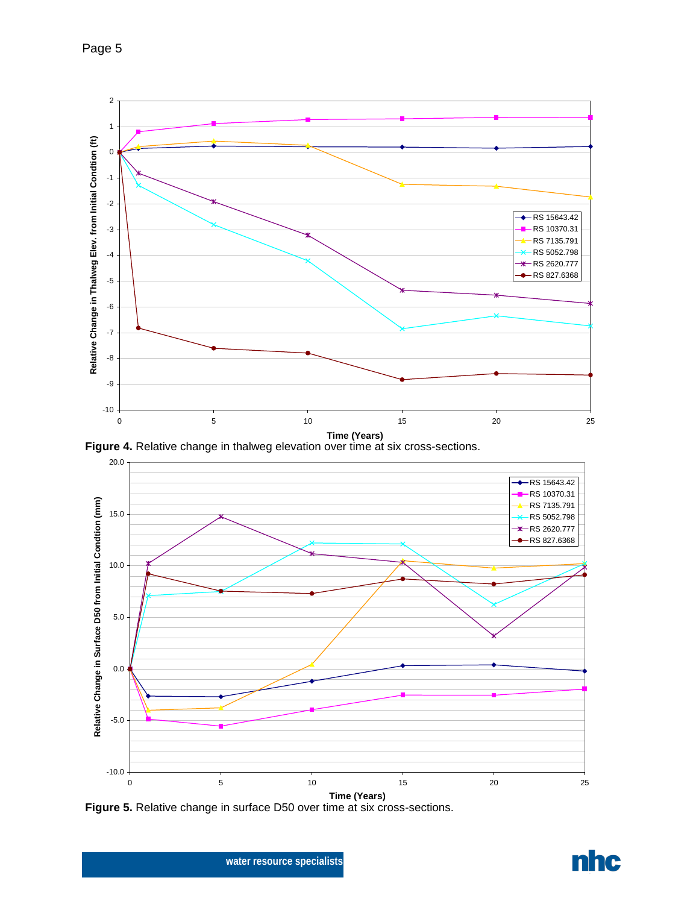Page 5



**Figure 4.** Relative change in thalweg elevation over time at six cross-sections.



**Figure 5.** Relative change in surface D50 over time at six cross-sections.

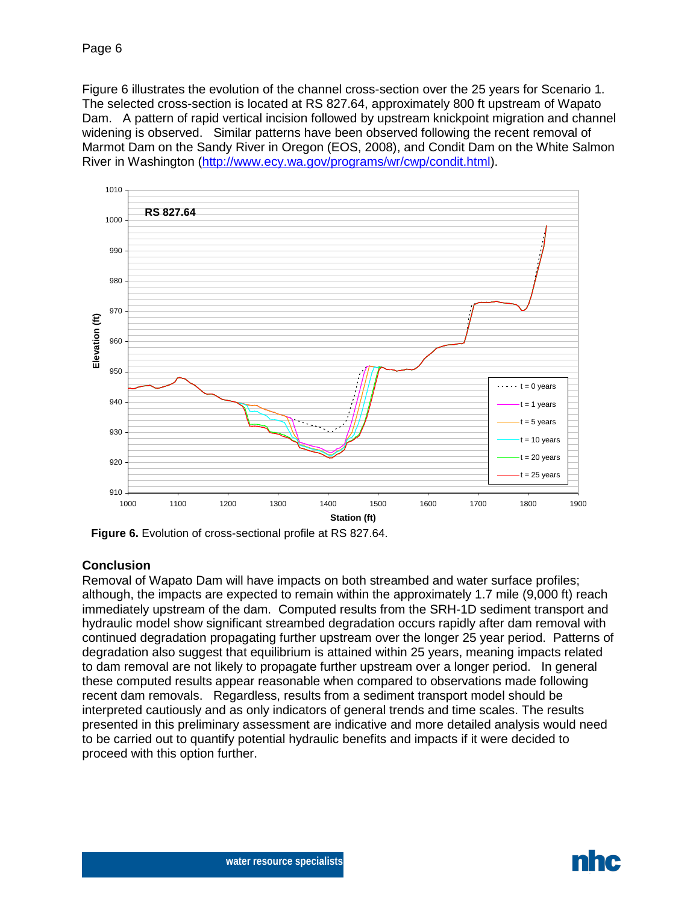Figure 6 illustrates the evolution of the channel cross-section over the 25 years for Scenario 1. The selected cross-section is located at RS 827.64, approximately 800 ft upstream of Wapato Dam. A pattern of rapid vertical incision followed by upstream knickpoint migration and channel widening is observed. Similar patterns have been observed following the recent removal of Marmot Dam on the Sandy River in Oregon (EOS, 2008), and Condit Dam on the White Salmon River in Washington [\(http://www.ecy.wa.gov/programs/wr/cwp/condit.html\)](http://www.ecy.wa.gov/programs/wr/cwp/condit.html).



**Figure 6.** Evolution of cross-sectional profile at RS 827.64.

# **Conclusion**

Removal of Wapato Dam will have impacts on both streambed and water surface profiles; although, the impacts are expected to remain within the approximately 1.7 mile (9,000 ft) reach immediately upstream of the dam. Computed results from the SRH-1D sediment transport and hydraulic model show significant streambed degradation occurs rapidly after dam removal with continued degradation propagating further upstream over the longer 25 year period. Patterns of degradation also suggest that equilibrium is attained within 25 years, meaning impacts related to dam removal are not likely to propagate further upstream over a longer period. In general these computed results appear reasonable when compared to observations made following recent dam removals. Regardless, results from a sediment transport model should be interpreted cautiously and as only indicators of general trends and time scales. The results presented in this preliminary assessment are indicative and more detailed analysis would need to be carried out to quantify potential hydraulic benefits and impacts if it were decided to proceed with this option further.